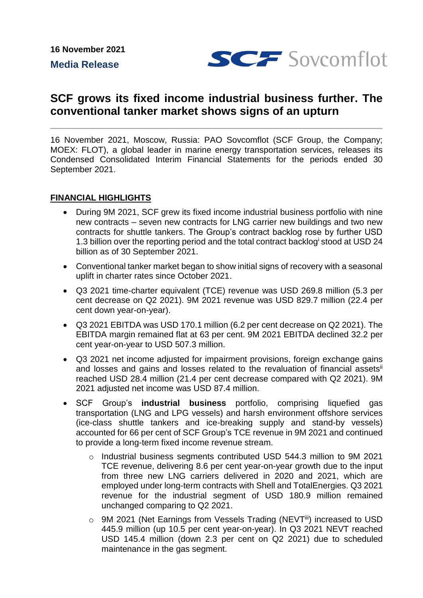**16 November 2021 Media Release**



# **SCF grows its fixed income industrial business further. The conventional tanker market shows signs of an upturn**

16 November 2021, Moscow, Russia: PAO Sovcomflot (SCF Group, the Company; MOEX: FLOT), a global leader in marine energy transportation services, releases its Condensed Consolidated Interim Financial Statements for the periods ended 30 September 2021.

## **FINANCIAL HIGHLIGHTS**

- During 9M 2021, SCF grew its fixed income industrial business portfolio with nine new contracts – seven new contracts for LNG carrier new buildings and two new contracts for shuttle tankers. The Group's contract backlog rose by further USD 1.3 billion over the reporting period and the total contract backlog<sup>i</sup> stood at USD 24 billion as of 30 September 2021.
- Conventional tanker market began to show initial signs of recovery with a seasonal uplift in charter rates since October 2021.
- Q3 2021 time-charter equivalent (TCE) revenue was USD 269.8 million (5.3 per cent decrease on Q2 2021). 9M 2021 revenue was USD 829.7 million (22.4 per cent down year-on-year).
- Q3 2021 EBITDA was USD 170.1 million (6.2 per cent decrease on Q2 2021). The EBITDA margin remained flat at 63 per cent. 9M 2021 EBITDA declined 32.2 per cent year-on-year to USD 507.3 million.
- Q3 2021 net income adjusted for impairment provisions, foreign exchange gains and losses and gains and losses related to the revaluation of financial assets<sup>ii</sup> reached USD 28.4 million (21.4 per cent decrease compared with Q2 2021). 9M 2021 adjusted net income was USD 87.4 million.
- SCF Group's **industrial business** portfolio, comprising liquefied gas transportation (LNG and LPG vessels) and harsh environment offshore services (ice-class shuttle tankers and ice-breaking supply and stand-by vessels) accounted for 66 per cent of SCF Group's TCE revenue in 9M 2021 and continued to provide a long-term fixed income revenue stream.
	- o Industrial business segments contributed USD 544.3 million to 9M 2021 TCE revenue, delivering 8.6 per cent year-on-year growth due to the input from three new LNG carriers delivered in 2020 and 2021, which are employed under long-term contracts with Shell and TotalEnergies. Q3 2021 revenue for the industrial segment of USD 180.9 million remained unchanged comparing to Q2 2021.
	- o 9M 2021 (Net Earnings from Vessels Trading (NEVTiii) increased to USD 445.9 million (up 10.5 per cent year-on-year). In Q3 2021 NEVT reached USD 145.4 million (down 2.3 per cent on Q2 2021) due to scheduled maintenance in the gas segment.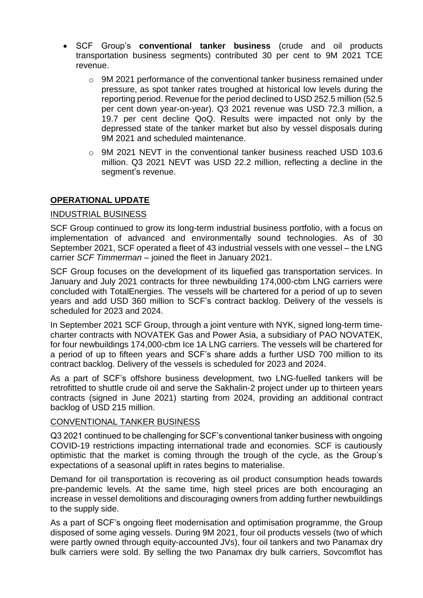- SCF Group's **conventional tanker business** (crude and oil products transportation business segments) contributed 30 per cent to 9M 2021 TCE revenue.
	- $\circ$  9M 2021 performance of the conventional tanker business remained under pressure, as spot tanker rates troughed at historical low levels during the reporting period. Revenue for the period declined to USD 252.5 million (52.5 per cent down year-on-year). Q3 2021 revenue was USD 72.3 million, a 19.7 per cent decline QoQ. Results were impacted not only by the depressed state of the tanker market but also by vessel disposals during 9M 2021 and scheduled maintenance.
	- $\circ$  9M 2021 NEVT in the conventional tanker business reached USD 103.6 million. Q3 2021 NEVT was USD 22.2 million, reflecting a decline in the segment's revenue.

## **OPERATIONAL UPDATE**

### INDUSTRIAL BUSINESS

SCF Group continued to grow its long-term industrial business portfolio, with a focus on implementation of advanced and environmentally sound technologies. As of 30 September 2021, SCF operated a fleet of 43 industrial vessels with one vessel – the LNG carrier *SCF Timmerman* – joined the fleet in January 2021.

SCF Group focuses on the development of its liquefied gas transportation services. In January and July 2021 сontracts for three newbuilding 174,000-cbm LNG carriers were concluded with TotalEnergies. The vessels will be chartered for a period of up to seven years and add USD 360 million to SCF's contract backlog. Delivery of the vessels is scheduled for 2023 and 2024.

In September 2021 SCF Group, through a joint venture with NYK, signed long-term timecharter contracts with NOVATEK Gas and Power Asia, a subsidiary of PAO NOVATEK, for four newbuildings 174,000-cbm Ice 1A LNG carriers. The vessels will be chartered for a period of up to fifteen years and SCF's share adds a further USD 700 million to its contract backlog. Delivery of the vessels is scheduled for 2023 and 2024.

As a part of SCF's offshore business development, two LNG-fuelled tankers will be retrofitted to shuttle crude oil and serve the Sakhalin-2 project under up to thirteen years contracts (signed in June 2021) starting from 2024, providing an additional contract backlog of USD 215 million.

### CONVENTIONAL TANKER BUSINESS

Q3 2021 continued to be challenging for SCF's conventional tanker business with ongoing COVID-19 restrictions impacting international trade and economies. SCF is cautiously optimistic that the market is coming through the trough of the cycle, as the Group's expectations of a seasonal uplift in rates begins to materialise.

Demand for oil transportation is recovering as oil product consumption heads towards pre-pandemic levels. At the same time, high steel prices are both encouraging an increase in vessel demolitions and discouraging owners from adding further newbuildings to the supply side.

As a part of SCF's ongoing fleet modernisation and optimisation programme, the Group disposed of some aging vessels. During 9M 2021, four oil products vessels (two of which were partly owned through equity-accounted JVs), four oil tankers and two Panamax dry bulk carriers were sold. By selling the two Panamax dry bulk carriers, Sovcomflot has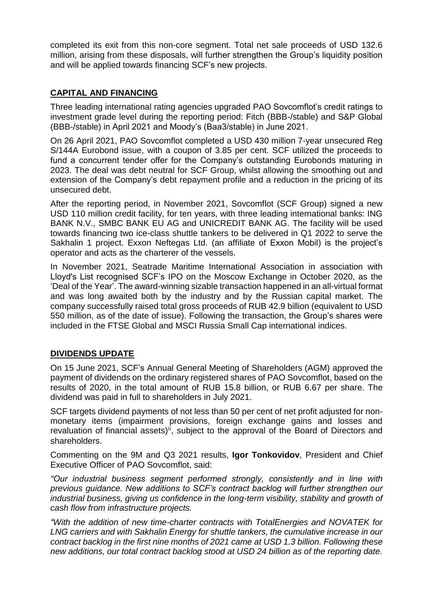completed its exit from this non-core segment. Total net sale proceeds of USD 132.6 million, arising from these disposals, will further strengthen the Group's liquidity position and will be applied towards financing SCF's new projects.

## **CAPITAL AND FINANCING**

Three leading international rating agencies upgraded PAO Sovcomflot's credit ratings to investment grade level during the reporting period: Fitch (BBB-/stable) and S&P Global (BBB-/stable) in April 2021 and Moody's (Baa3/stable) in June 2021.

On 26 April 2021, PAO Sovcomflot completed a USD 430 million 7-year unsecured Reg S/144A Eurobond issue, with a coupon of 3.85 per cent. SCF utilized the proceeds to fund a concurrent tender offer for the Company's outstanding Eurobonds maturing in 2023. The deal was debt neutral for SCF Group, whilst allowing the smoothing out and extension of the Company's debt repayment profile and a reduction in the pricing of its unsecured debt.

After the reporting period, in November 2021, Sovcomflot (SCF Group) signed a new USD 110 million credit facility, for ten years, with three leading international banks: ING BANK N.V., SMBC BANK EU AG and UNICREDIT BANK AG. The facility will be used towards financing two ice-class shuttle tankers to be delivered in Q1 2022 to serve the Sakhalin 1 project. Exxon Neftegas Ltd. (an affiliate of Exxon Mobil) is the project's operator and acts as the charterer of the vessels.

In November 2021, Seatrade Maritime International Association in association with Lloyd's List recognised SCF's IPO on the Moscow Exchange in October 2020, as the 'Deal of the Year'. The award-winning sizable transaction happened in an all-virtual format and was long awaited both by the industry and by the Russian capital market. The company successfully raised total gross proceeds of RUB 42.9 billion (equivalent to USD 550 million, as of the date of issue). Following the transaction, the Group's shares were included in the FTSE Global and MSCI Russia Small Cap international indices.

## **DIVIDENDS UPDATE**

On 15 June 2021, SCF's Annual General Meeting of Shareholders (AGM) approved the payment of dividends on the ordinary registered shares of PAO Sovcomflot, based on the results of 2020, in the total amount of RUB 15.8 billion, or RUB 6.67 per share. The dividend was paid in full to shareholders in July 2021.

SCF targets dividend payments of not less than 50 per cent of net profit adjusted for nonmonetary items (impairment provisions, foreign exchange gains and losses and revaluation of financial assets) $\mathrm{ii}$ , subject to the approval of the Board of Directors and shareholders.

Commenting on the 9M and Q3 2021 results, **Igor Tonkovidov**, President and Chief Executive Officer of PAO Sovcomflot, said:

*"Our industrial business segment performed strongly, consistently and in line with previous guidance. New additions to SCF's contract backlog will further strengthen our industrial business, giving us confidence in the long-term visibility, stability and growth of cash flow from infrastructure projects.* 

*"With the addition of new time-charter contracts with TotalEnergies and NOVATEK for LNG carriers and with Sakhalin Energy for shuttle tankers, the cumulative increase in our contract backlog in the first nine months of 2021 came at USD 1.3 billion. Following these new additions, our total contract backlog stood at USD 24 billion as of the reporting date.*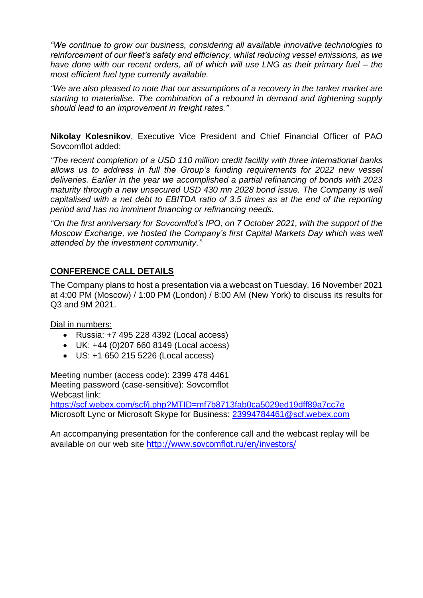*"We continue to grow our business, considering all available innovative technologies to reinforcement of our fleet's safety and efficiency, whilst reducing vessel emissions, as we have done with our recent orders, all of which will use LNG as their primary fuel – the most efficient fuel type currently available.*

*"We are also pleased to note that our assumptions of a recovery in the tanker market are starting to materialise. The combination of a rebound in demand and tightening supply should lead to an improvement in freight rates."*

**Nikolay Kolesnikov**, Executive Vice President and Chief Financial Officer of PAO Sovcomflot added:

*"The recent completion of a USD 110 million credit facility with three international banks allows us to address in full the Group's funding requirements for 2022 new vessel deliveries. Earlier in the year we accomplished a partial refinancing of bonds with 2023 maturity through a new unsecured USD 430 mn 2028 bond issue. The Company is well capitalised with a net debt to EBITDA ratio of 3.5 times as at the end of the reporting period and has no imminent financing or refinancing needs.*

*"On the first anniversary for Sovcomlfot's IPO, on 7 October 2021, with the support of the Moscow Exchange, we hosted the Company's first Capital Markets Day which was well attended by the investment community."*

## **CONFERENCE CALL DETAILS**

The Company plans to host a presentation via a webcast on Tuesday, 16 November 2021 at 4:00 PM (Moscow) / 1:00 PM (London) / 8:00 AM (New York) to discuss its results for Q3 and 9M 2021.

### Dial in numbers:

- Russia: +7 495 228 4392 (Local access)
- UK: +44 (0)207 660 8149 (Local access)
- US: +1 650 215 5226 (Local access)

Meeting number (access code): 2399 478 4461 Meeting password (case-sensitive): Sovcomflot Webcast link:

<https://scf.webex.com/scf/j.php?MTID=mf7b8713fab0ca5029ed19dff89a7cc7e> Microsoft Lync or Microsoft Skype for Business: 23994784461@scf.webex.com

An accompanying presentation for the conference call and the webcast replay will be available on our web site <http://www.sovcomflot.ru/en/investors/>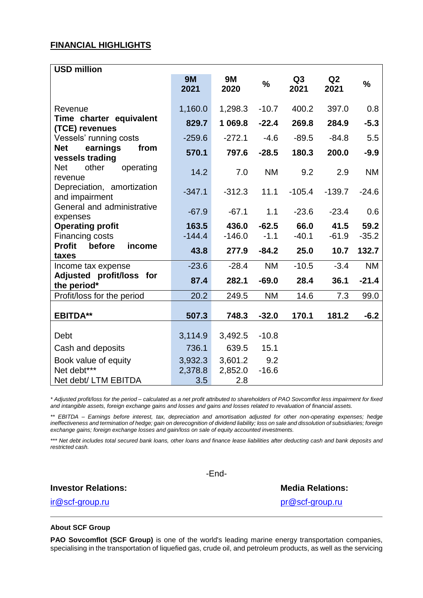#### **FINANCIAL HIGHLIGHTS**

| <b>USD million</b>                                          |                           |                           |                |                        |            |           |
|-------------------------------------------------------------|---------------------------|---------------------------|----------------|------------------------|------------|-----------|
|                                                             | <b>9M</b><br>2021         | <b>9M</b><br>2020         | $\frac{1}{2}$  | Q <sub>3</sub><br>2021 | Q2<br>2021 | $\%$      |
| Revenue                                                     | 1,160.0                   | 1,298.3                   | $-10.7$        | 400.2                  | 397.0      | 0.8       |
| Time charter equivalent<br>(TCE) revenues                   | 829.7                     | 1 069.8                   | $-22.4$        | 269.8                  | 284.9      | $-5.3$    |
| Vessels' running costs                                      | $-259.6$                  | $-272.1$                  | $-4.6$         | $-89.5$                | $-84.8$    | 5.5       |
| earnings<br><b>Net</b><br>from<br>vessels trading           | 570.1                     | 797.6                     | $-28.5$        | 180.3                  | 200.0      | $-9.9$    |
| <b>Net</b><br>other<br>operating<br>revenue                 | 14.2                      | 7.0                       | <b>NM</b>      | 9.2                    | 2.9        | <b>NM</b> |
| Depreciation, amortization<br>and impairment                | $-347.1$                  | $-312.3$                  | 11.1           | $-105.4$               | $-139.7$   | $-24.6$   |
| General and administrative<br>expenses                      | $-67.9$                   | $-67.1$                   | 1.1            | $-23.6$                | $-23.4$    | 0.6       |
| <b>Operating profit</b>                                     | 163.5                     | 436.0                     | $-62.5$        | 66.0                   | 41.5       | 59.2      |
| Financing costs                                             | $-144.4$                  | $-146.0$                  | $-1.1$         | $-40.1$                | $-61.9$    | $-35.2$   |
| <b>Profit</b><br>before<br>income<br>taxes                  | 43.8                      | 277.9                     | $-84.2$        | 25.0                   | 10.7       | 132.7     |
| Income tax expense                                          | $-23.6$                   | $-28.4$                   | <b>NM</b>      | $-10.5$                | $-3.4$     | <b>NM</b> |
| Adjusted profit/loss for<br>the period*                     | 87.4                      | 282.1                     | $-69.0$        | 28.4                   | 36.1       | $-21.4$   |
| Profit/loss for the period                                  | 20.2                      | 249.5                     | <b>NM</b>      | 14.6                   | 7.3        | 99.0      |
| <b>EBITDA**</b>                                             | 507.3                     | 748.3                     | $-32.0$        | 170.1                  | 181.2      | $-6.2$    |
| Debt                                                        | 3,114.9                   | 3,492.5                   | $-10.8$        |                        |            |           |
| Cash and deposits                                           | 736.1                     | 639.5                     | 15.1           |                        |            |           |
| Book value of equity<br>Net debt***<br>Net debt/ LTM EBITDA | 3,932.3<br>2,378.8<br>3.5 | 3,601.2<br>2,852.0<br>2.8 | 9.2<br>$-16.6$ |                        |            |           |

*\* Adjusted profit/loss for the period – calculated as a net profit attributed to shareholders of PAO Sovcomflot less impairment for fixed and intangible assets, foreign exchange gains and losses and gains and losses related to revaluation of financial assets.*

*\*\* EBITDA – Earnings before interest, tax, depreciation and amortisation adjusted for other non-operating expenses; hedge ineffectiveness and termination of hedge; gain on derecognition of dividend liability; loss on sale and dissolution of subsidiaries; foreign exchange gains; foreign exchange losses and gain/loss on sale of equity accounted investments.*

*\*\*\* Net debt includes total secured bank loans, other loans and finance lease liabilities after deducting cash and bank deposits and restricted cash.*

-End-

**Investor Relations: Media Relations: Media Relations:** 

ir@scf-group.ru pr@scf-group.ru

#### **About SCF Group**

**PAO Sovcomflot (SCF Group)** is one of the world's leading marine energy transportation companies, specialising in the transportation of liquefied gas, crude oil, and petroleum products, as well as the servicing